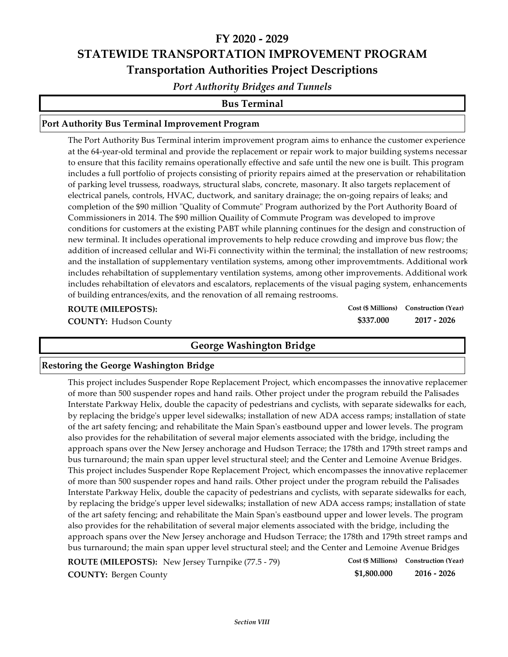# **FY 2020 ‐ 2029 STATEWIDE TRANSPORTATION IMPROVEMENT PROGRAM Transportation Authorities Project Descriptions**

*Port Authority Bridges and Tunnels*

### **Bus Terminal**

### **Port Authority Bus Terminal Improvement Program**

The Port Authority Bus Terminal interim improvement program aims to enhance the customer experience at the 64‐year‐old terminal and provide the replacement or repair work to major building systems necessar to ensure that this facility remains operationally effective and safe until the new one is built. This program includes a full portfolio of projects consisting of priority repairs aimed at the preservation or rehabilitation of parking level trussess, roadways, structural slabs, concrete, masonary. It also targets replacement of electrical panels, controls, HVAC, ductwork, and sanitary drainage; the on‐going repairs of leaks; and completion of the \$90 million "Quality of Commute" Program authorized by the Port Authority Board of Commissioners in 2014. The \$90 million Quaility of Commute Program was developed to improve conditions for customers at the existing PABT while planning continues for the design and construction of new terminal. It includes operational improvements to help reduce crowding and improve bus flow; the addition of increased cellular and Wi‐Fi connectivity within the terminal; the installation of new restrooms; and the installation of supplementary ventilation systems, among other improvemtments. Additional work includes rehabiltation of supplementary ventilation systems, among other improvements. Additional work includes rehabiltation of elevators and escalators, replacements of the visual paging system, enhancements of building entrances/exits, and the renovation of all remaing restrooms.

**ROUTE (MILEPOSTS):**

**\$337.000 Cost (\$ Millions) Construction (Year)**

**COUNTY: 2017 ‐ 2026** Hudson County

## **George Washington Bridge**

#### **Restoring the George Washington Bridge**

This project includes Suspender Rope Replacement Project, which encompasses the innovative replacemen of more than 500 suspender ropes and hand rails. Other project under the program rebuild the Palisades Interstate Parkway Helix, double the capacity of pedestrians and cyclists, with separate sidewalks for each, by replacing the bridgeʹs upper level sidewalks; installation of new ADA access ramps; installation of state of the art safety fencing; and rehabilitate the Main Spanʹs eastbound upper and lower levels. The program also provides for the rehabilitation of several major elements associated with the bridge, including the approach spans over the New Jersey anchorage and Hudson Terrace; the 178th and 179th street ramps and bus turnaround; the main span upper level structural steel; and the Center and Lemoine Avenue Bridges. This project includes Suspender Rope Replacement Project, which encompasses the innovative replacemen of more than 500 suspender ropes and hand rails. Other project under the program rebuild the Palisades Interstate Parkway Helix, double the capacity of pedestrians and cyclists, with separate sidewalks for each, by replacing the bridgeʹs upper level sidewalks; installation of new ADA access ramps; installation of state of the art safety fencing; and rehabilitate the Main Spanʹs eastbound upper and lower levels. The program also provides for the rehabilitation of several major elements associated with the bridge, including the approach spans over the New Jersey anchorage and Hudson Terrace; the 178th and 179th street ramps and bus turnaround; the main span upper level structural steel; and the Center and Lemoine Avenue Bridges

| <b>ROUTE (MILEPOSTS):</b> New Jersey Turnpike (77.5 - 79) |             | Cost (\$ Millions) Construction (Year) |
|-----------------------------------------------------------|-------------|----------------------------------------|
| <b>COUNTY: Bergen County</b>                              | \$1,800.000 | 2016 - 2026                            |